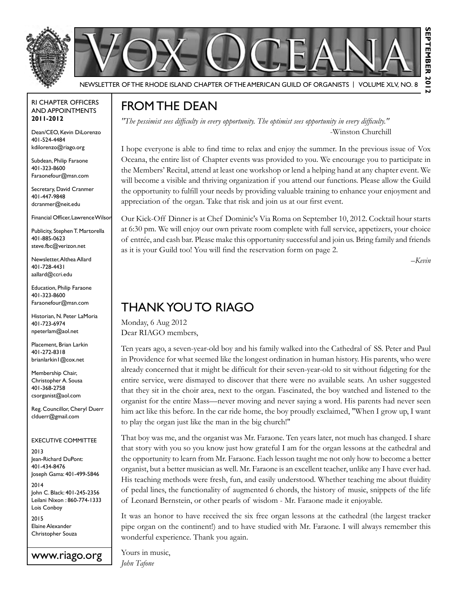

### RI Chapter Officers and Appointments **2011-2012**

Dean/CEO, Kevin DiLorenzo 401-524-4484 kdilorenzo@riago.org

Subdean, Philip Faraone 401-323-8600 Faraonefour@msn.com

Secretary, David Cranmer 401-447-9848 dcranmer@neit.edu

Financial Officer, Lawrence Wilson

Publicity, Stephen T. Martorella 401-885-0623 steve.fbc@verizon.net

Newsletter, Althea Allard 401-728-4431 aallard@ccri.edu

Education, Philip Faraone 401-323-8600 Faraonefour@msn.com

Historian, N. Peter LaMoria 401-723-6974 npeterlam@aol.net

Placement, Brian Larkin 401-272-8318 brianlarkin1@cox.net

Membership Chair, Christopher A. Sousa 401-368-2758 csorganist@aol.com

Reg. Councillor, Cheryl Duerr clduerr@gmail.com

### Executive Committee

2013 Jean-Richard DuPont: 401-434-8476 Joseph Gama: 401-499-5846

2014 John C. Black: 401-245-2356 Leilani Nixon : 860-774-1333 Lois Conboy

2015 Elaine Alexander Christopher Souza

www.riago.org

# From the Dean

*"The pessimist sees difficulty in every opportunity. The optimist sees opportunity in every difficulty."*  -Winston Churchill

I hope everyone is able to find time to relax and enjoy the summer. In the previous issue of Vox Oceana, the entire list of Chapter events was provided to you. We encourage you to participate in the Members' Recital, attend at least one workshop or lend a helping hand at any chapter event. We will become a visible and thriving organization if you attend our functions. Please allow the Guild the opportunity to fulfill your needs by providing valuable training to enhance your enjoyment and appreciation of the organ. Take that risk and join us at our first event.

Our Kick-Off Dinner is at Chef Dominic's Via Roma on September 10, 2012. Cocktail hour starts at 6:30 pm. We will enjoy our own private room complete with full service, appetizers, your choice of entrée, and cash bar. Please make this opportunity successful and join us. Bring family and friends as it is your Guild too! You will find the reservation form on page 2.

*–Kevin*

# Thank you to RIAGO

Monday, 6 Aug 2012 Dear RIAGO members,

Ten years ago, a seven-year-old boy and his family walked into the Cathedral of SS. Peter and Paul in Providence for what seemed like the longest ordination in human history. His parents, who were already concerned that it might be difficult for their seven-year-old to sit without fidgeting for the entire service, were dismayed to discover that there were no available seats. An usher suggested that they sit in the choir area, next to the organ. Fascinated, the boy watched and listened to the organist for the entire Mass—never moving and never saying a word. His parents had never seen him act like this before. In the car ride home, the boy proudly exclaimed, "When I grow up, I want to play the organ just like the man in the big church!"

That boy was me, and the organist was Mr. Faraone. Ten years later, not much has changed. I share that story with you so you know just how grateful I am for the organ lessons at the cathedral and the opportunity to learn from Mr. Faraone. Each lesson taught me not only how to become a better organist, but a better musician as well. Mr. Faraone is an excellent teacher, unlike any I have ever had. His teaching methods were fresh, fun, and easily understood. Whether teaching me about fluidity of pedal lines, the functionality of augmented 6 chords, the history of music, snippets of the life of Leonard Bernstein, or other pearls of wisdom - Mr. Faraone made it enjoyable.

It was an honor to have received the six free organ lessons at the cathedral (the largest tracker pipe organ on the continent!) and to have studied with Mr. Faraone. I will always remember this wonderful experience. Thank you again.

Yours in music, *John Tafone*